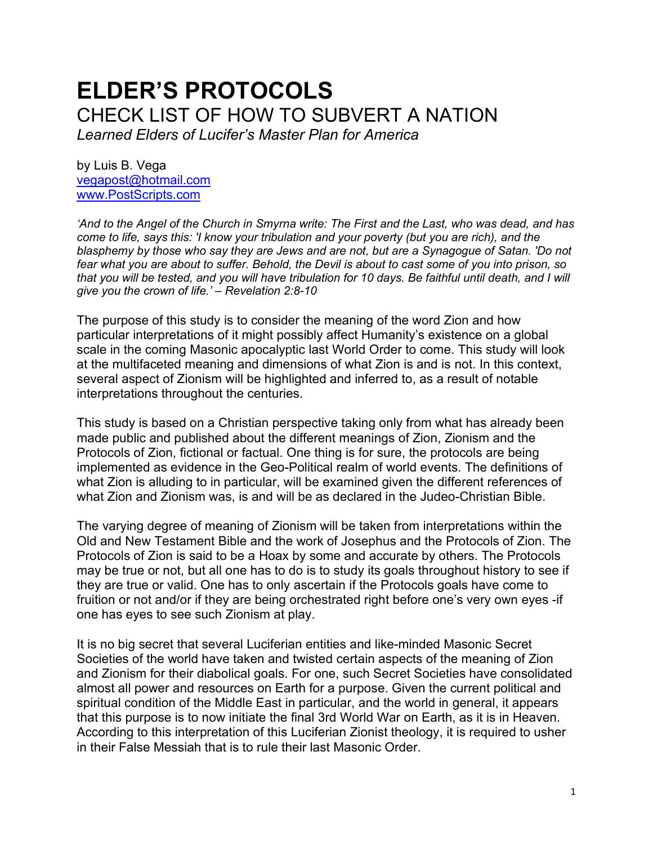# **ELDER'S PROTOCOLS** CHECK LIST OF HOW TO SUBVERT A NATION

*Learned Elders of Lucifer's Master Plan for America*

by Luis B. Vega [vegapost@hotmail.com](mailto:vegapost@hotmail.com) [www.PostScripts.com](http://www.postscripts.com/)

*'And to the Angel of the Church in Smyrna write: The First and the Last, who was dead, and has come to life, says this: 'I know your tribulation and your poverty (but you are rich), and the blasphemy by those who say they are Jews and are not, but are a Synagogue of Satan. 'Do not fear what you are about to suffer. Behold, the Devil is about to cast some of you into prison, so that you will be tested, and you will have tribulation for 10 days. Be faithful until death, and I will give you the crown of life.' – Revelation 2:8-10*

The purpose of this study is to consider the meaning of the word Zion and how particular interpretations of it might possibly affect Humanity's existence on a global scale in the coming Masonic apocalyptic last World Order to come. This study will look at the multifaceted meaning and dimensions of what Zion is and is not. In this context, several aspect of Zionism will be highlighted and inferred to, as a result of notable interpretations throughout the centuries.

This study is based on a Christian perspective taking only from what has already been made public and published about the different meanings of Zion, Zionism and the Protocols of Zion, fictional or factual. One thing is for sure, the protocols are being implemented as evidence in the Geo-Political realm of world events. The definitions of what Zion is alluding to in particular, will be examined given the different references of what Zion and Zionism was, is and will be as declared in the Judeo-Christian Bible.

The varying degree of meaning of Zionism will be taken from interpretations within the Old and New Testament Bible and the work of Josephus and the Protocols of Zion. The Protocols of Zion is said to be a Hoax by some and accurate by others. The Protocols may be true or not, but all one has to do is to study its goals throughout history to see if they are true or valid. One has to only ascertain if the Protocols goals have come to fruition or not and/or if they are being orchestrated right before one's very own eyes -if one has eyes to see such Zionism at play.

It is no big secret that several Luciferian entities and like-minded Masonic Secret Societies of the world have taken and twisted certain aspects of the meaning of Zion and Zionism for their diabolical goals. For one, such Secret Societies have consolidated almost all power and resources on Earth for a purpose. Given the current political and spiritual condition of the Middle East in particular, and the world in general, it appears that this purpose is to now initiate the final 3rd World War on Earth, as it is in Heaven. According to this interpretation of this Luciferian Zionist theology, it is required to usher in their False Messiah that is to rule their last Masonic Order.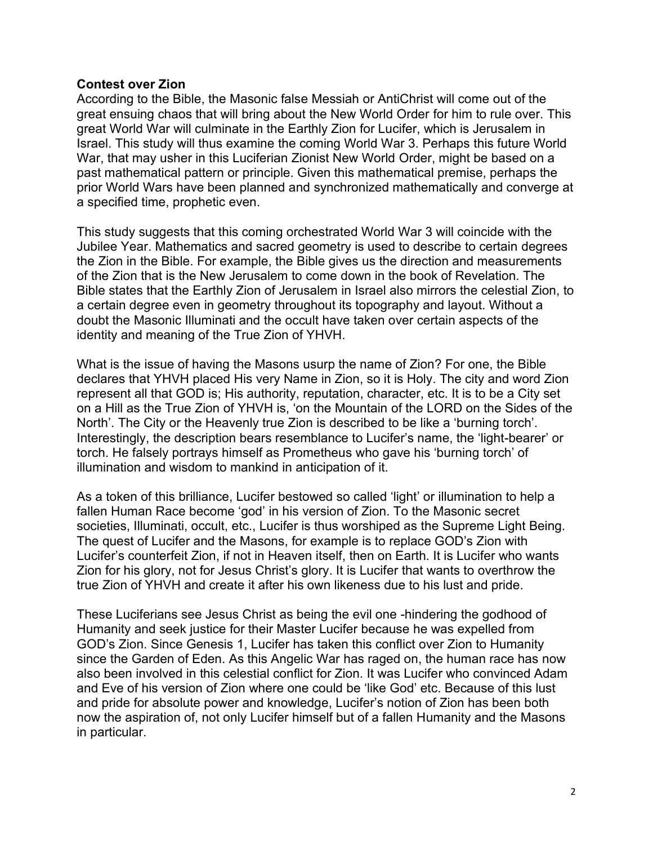#### **Contest over Zion**

According to the Bible, the Masonic false Messiah or AntiChrist will come out of the great ensuing chaos that will bring about the New World Order for him to rule over. This great World War will culminate in the Earthly Zion for Lucifer, which is Jerusalem in Israel. This study will thus examine the coming World War 3. Perhaps this future World War, that may usher in this Luciferian Zionist New World Order, might be based on a past mathematical pattern or principle. Given this mathematical premise, perhaps the prior World Wars have been planned and synchronized mathematically and converge at a specified time, prophetic even.

This study suggests that this coming orchestrated World War 3 will coincide with the Jubilee Year. Mathematics and sacred geometry is used to describe to certain degrees the Zion in the Bible. For example, the Bible gives us the direction and measurements of the Zion that is the New Jerusalem to come down in the book of Revelation. The Bible states that the Earthly Zion of Jerusalem in Israel also mirrors the celestial Zion, to a certain degree even in geometry throughout its topography and layout. Without a doubt the Masonic Illuminati and the occult have taken over certain aspects of the identity and meaning of the True Zion of YHVH.

What is the issue of having the Masons usurp the name of Zion? For one, the Bible declares that YHVH placed His very Name in Zion, so it is Holy. The city and word Zion represent all that GOD is; His authority, reputation, character, etc. It is to be a City set on a Hill as the True Zion of YHVH is, 'on the Mountain of the LORD on the Sides of the North'. The City or the Heavenly true Zion is described to be like a 'burning torch'. Interestingly, the description bears resemblance to Lucifer's name, the 'light-bearer' or torch. He falsely portrays himself as Prometheus who gave his 'burning torch' of illumination and wisdom to mankind in anticipation of it.

As a token of this brilliance, Lucifer bestowed so called 'light' or illumination to help a fallen Human Race become 'god' in his version of Zion. To the Masonic secret societies, Illuminati, occult, etc., Lucifer is thus worshiped as the Supreme Light Being. The quest of Lucifer and the Masons, for example is to replace GOD's Zion with Lucifer's counterfeit Zion, if not in Heaven itself, then on Earth. It is Lucifer who wants Zion for his glory, not for Jesus Christ's glory. It is Lucifer that wants to overthrow the true Zion of YHVH and create it after his own likeness due to his lust and pride.

These Luciferians see Jesus Christ as being the evil one -hindering the godhood of Humanity and seek justice for their Master Lucifer because he was expelled from GOD's Zion. Since Genesis 1, Lucifer has taken this conflict over Zion to Humanity since the Garden of Eden. As this Angelic War has raged on, the human race has now also been involved in this celestial conflict for Zion. It was Lucifer who convinced Adam and Eve of his version of Zion where one could be 'like God' etc. Because of this lust and pride for absolute power and knowledge, Lucifer's notion of Zion has been both now the aspiration of, not only Lucifer himself but of a fallen Humanity and the Masons in particular.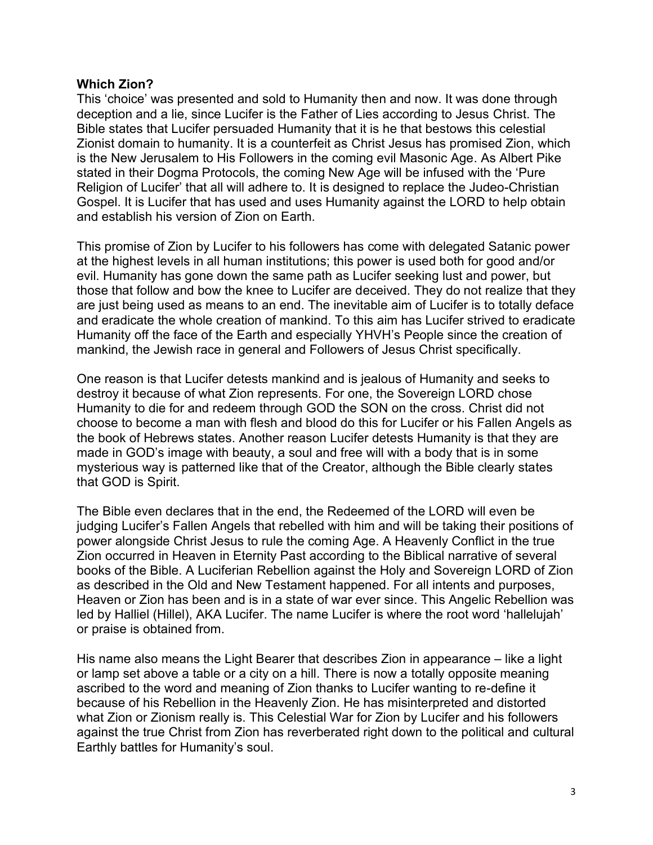#### **Which Zion?**

This 'choice' was presented and sold to Humanity then and now. It was done through deception and a lie, since Lucifer is the Father of Lies according to Jesus Christ. The Bible states that Lucifer persuaded Humanity that it is he that bestows this celestial Zionist domain to humanity. It is a counterfeit as Christ Jesus has promised Zion, which is the New Jerusalem to His Followers in the coming evil Masonic Age. As Albert Pike stated in their Dogma Protocols, the coming New Age will be infused with the 'Pure Religion of Lucifer' that all will adhere to. It is designed to replace the Judeo-Christian Gospel. It is Lucifer that has used and uses Humanity against the LORD to help obtain and establish his version of Zion on Earth.

This promise of Zion by Lucifer to his followers has come with delegated Satanic power at the highest levels in all human institutions; this power is used both for good and/or evil. Humanity has gone down the same path as Lucifer seeking lust and power, but those that follow and bow the knee to Lucifer are deceived. They do not realize that they are just being used as means to an end. The inevitable aim of Lucifer is to totally deface and eradicate the whole creation of mankind. To this aim has Lucifer strived to eradicate Humanity off the face of the Earth and especially YHVH's People since the creation of mankind, the Jewish race in general and Followers of Jesus Christ specifically.

One reason is that Lucifer detests mankind and is jealous of Humanity and seeks to destroy it because of what Zion represents. For one, the Sovereign LORD chose Humanity to die for and redeem through GOD the SON on the cross. Christ did not choose to become a man with flesh and blood do this for Lucifer or his Fallen Angels as the book of Hebrews states. Another reason Lucifer detests Humanity is that they are made in GOD's image with beauty, a soul and free will with a body that is in some mysterious way is patterned like that of the Creator, although the Bible clearly states that GOD is Spirit.

The Bible even declares that in the end, the Redeemed of the LORD will even be judging Lucifer's Fallen Angels that rebelled with him and will be taking their positions of power alongside Christ Jesus to rule the coming Age. A Heavenly Conflict in the true Zion occurred in Heaven in Eternity Past according to the Biblical narrative of several books of the Bible. A Luciferian Rebellion against the Holy and Sovereign LORD of Zion as described in the Old and New Testament happened. For all intents and purposes, Heaven or Zion has been and is in a state of war ever since. This Angelic Rebellion was led by Halliel (Hillel), AKA Lucifer. The name Lucifer is where the root word 'hallelujah' or praise is obtained from.

His name also means the Light Bearer that describes Zion in appearance – like a light or lamp set above a table or a city on a hill. There is now a totally opposite meaning ascribed to the word and meaning of Zion thanks to Lucifer wanting to re-define it because of his Rebellion in the Heavenly Zion. He has misinterpreted and distorted what Zion or Zionism really is. This Celestial War for Zion by Lucifer and his followers against the true Christ from Zion has reverberated right down to the political and cultural Earthly battles for Humanity's soul.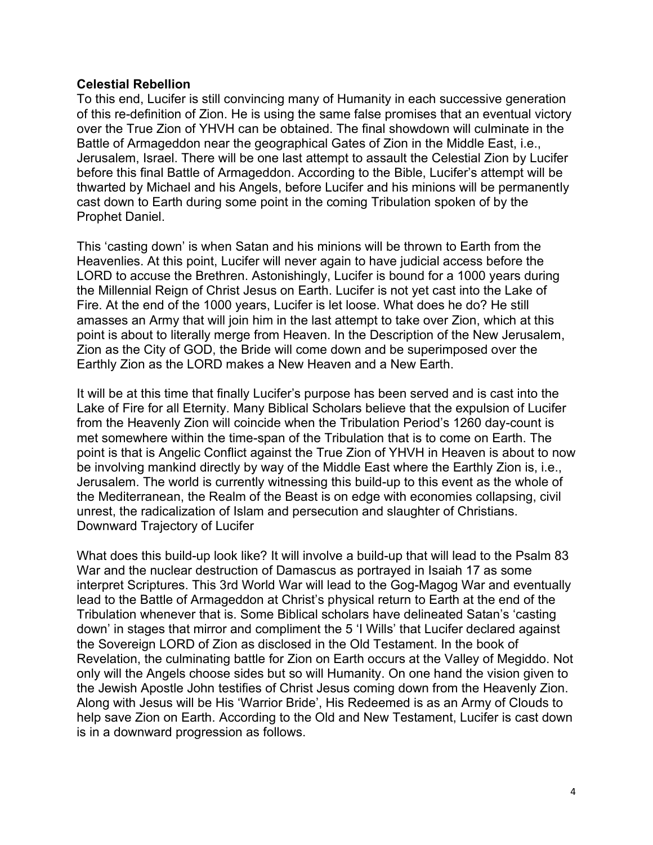#### **Celestial Rebellion**

To this end, Lucifer is still convincing many of Humanity in each successive generation of this re-definition of Zion. He is using the same false promises that an eventual victory over the True Zion of YHVH can be obtained. The final showdown will culminate in the Battle of Armageddon near the geographical Gates of Zion in the Middle East, i.e., Jerusalem, Israel. There will be one last attempt to assault the Celestial Zion by Lucifer before this final Battle of Armageddon. According to the Bible, Lucifer's attempt will be thwarted by Michael and his Angels, before Lucifer and his minions will be permanently cast down to Earth during some point in the coming Tribulation spoken of by the Prophet Daniel.

This 'casting down' is when Satan and his minions will be thrown to Earth from the Heavenlies. At this point, Lucifer will never again to have judicial access before the LORD to accuse the Brethren. Astonishingly, Lucifer is bound for a 1000 years during the Millennial Reign of Christ Jesus on Earth. Lucifer is not yet cast into the Lake of Fire. At the end of the 1000 years, Lucifer is let loose. What does he do? He still amasses an Army that will join him in the last attempt to take over Zion, which at this point is about to literally merge from Heaven. In the Description of the New Jerusalem, Zion as the City of GOD, the Bride will come down and be superimposed over the Earthly Zion as the LORD makes a New Heaven and a New Earth.

It will be at this time that finally Lucifer's purpose has been served and is cast into the Lake of Fire for all Eternity. Many Biblical Scholars believe that the expulsion of Lucifer from the Heavenly Zion will coincide when the Tribulation Period's 1260 day-count is met somewhere within the time-span of the Tribulation that is to come on Earth. The point is that is Angelic Conflict against the True Zion of YHVH in Heaven is about to now be involving mankind directly by way of the Middle East where the Earthly Zion is, i.e., Jerusalem. The world is currently witnessing this build-up to this event as the whole of the Mediterranean, the Realm of the Beast is on edge with economies collapsing, civil unrest, the radicalization of Islam and persecution and slaughter of Christians. Downward Trajectory of Lucifer

What does this build-up look like? It will involve a build-up that will lead to the Psalm 83 War and the nuclear destruction of Damascus as portrayed in Isaiah 17 as some interpret Scriptures. This 3rd World War will lead to the Gog-Magog War and eventually lead to the Battle of Armageddon at Christ's physical return to Earth at the end of the Tribulation whenever that is. Some Biblical scholars have delineated Satan's 'casting down' in stages that mirror and compliment the 5 'I Wills' that Lucifer declared against the Sovereign LORD of Zion as disclosed in the Old Testament. In the book of Revelation, the culminating battle for Zion on Earth occurs at the Valley of Megiddo. Not only will the Angels choose sides but so will Humanity. On one hand the vision given to the Jewish Apostle John testifies of Christ Jesus coming down from the Heavenly Zion. Along with Jesus will be His 'Warrior Bride', His Redeemed is as an Army of Clouds to help save Zion on Earth. According to the Old and New Testament, Lucifer is cast down is in a downward progression as follows.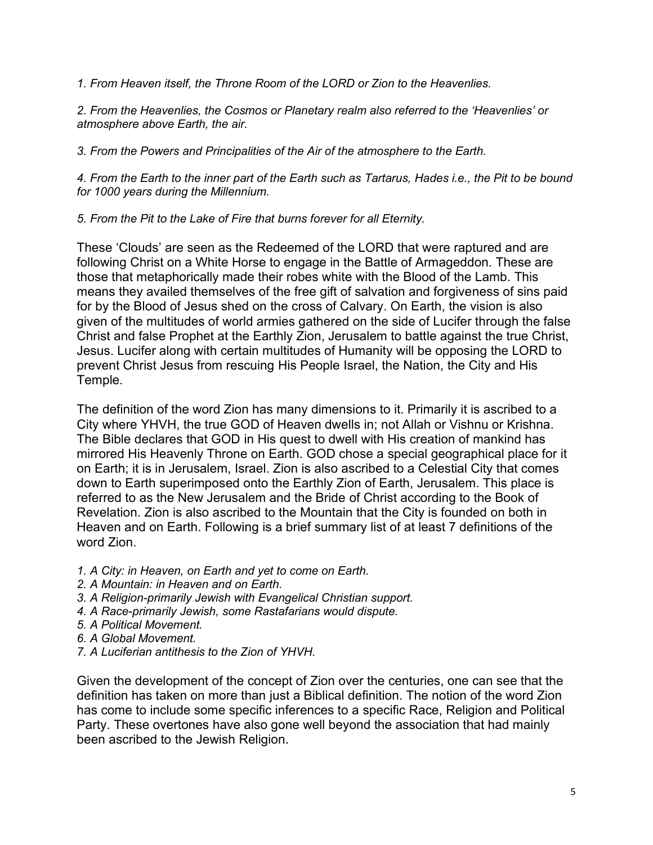*1. From Heaven itself, the Throne Room of the LORD or Zion to the Heavenlies.*

*2. From the Heavenlies, the Cosmos or Planetary realm also referred to the 'Heavenlies' or atmosphere above Earth, the air.*

*3. From the Powers and Principalities of the Air of the atmosphere to the Earth.*

*4. From the Earth to the inner part of the Earth such as Tartarus, Hades i.e., the Pit to be bound for 1000 years during the Millennium.*

*5. From the Pit to the Lake of Fire that burns forever for all Eternity.*

These 'Clouds' are seen as the Redeemed of the LORD that were raptured and are following Christ on a White Horse to engage in the Battle of Armageddon. These are those that metaphorically made their robes white with the Blood of the Lamb. This means they availed themselves of the free gift of salvation and forgiveness of sins paid for by the Blood of Jesus shed on the cross of Calvary. On Earth, the vision is also given of the multitudes of world armies gathered on the side of Lucifer through the false Christ and false Prophet at the Earthly Zion, Jerusalem to battle against the true Christ, Jesus. Lucifer along with certain multitudes of Humanity will be opposing the LORD to prevent Christ Jesus from rescuing His People Israel, the Nation, the City and His Temple.

The definition of the word Zion has many dimensions to it. Primarily it is ascribed to a City where YHVH, the true GOD of Heaven dwells in; not Allah or Vishnu or Krishna. The Bible declares that GOD in His quest to dwell with His creation of mankind has mirrored His Heavenly Throne on Earth. GOD chose a special geographical place for it on Earth; it is in Jerusalem, Israel. Zion is also ascribed to a Celestial City that comes down to Earth superimposed onto the Earthly Zion of Earth, Jerusalem. This place is referred to as the New Jerusalem and the Bride of Christ according to the Book of Revelation. Zion is also ascribed to the Mountain that the City is founded on both in Heaven and on Earth. Following is a brief summary list of at least 7 definitions of the word Zion.

- *1. A City: in Heaven, on Earth and yet to come on Earth.*
- *2. A Mountain: in Heaven and on Earth.*
- *3. A Religion-primarily Jewish with Evangelical Christian support.*
- *4. A Race-primarily Jewish, some Rastafarians would dispute.*
- *5. A Political Movement.*
- *6. A Global Movement.*
- *7. A Luciferian antithesis to the Zion of YHVH.*

Given the development of the concept of Zion over the centuries, one can see that the definition has taken on more than just a Biblical definition. The notion of the word Zion has come to include some specific inferences to a specific Race, Religion and Political Party. These overtones have also gone well beyond the association that had mainly been ascribed to the Jewish Religion.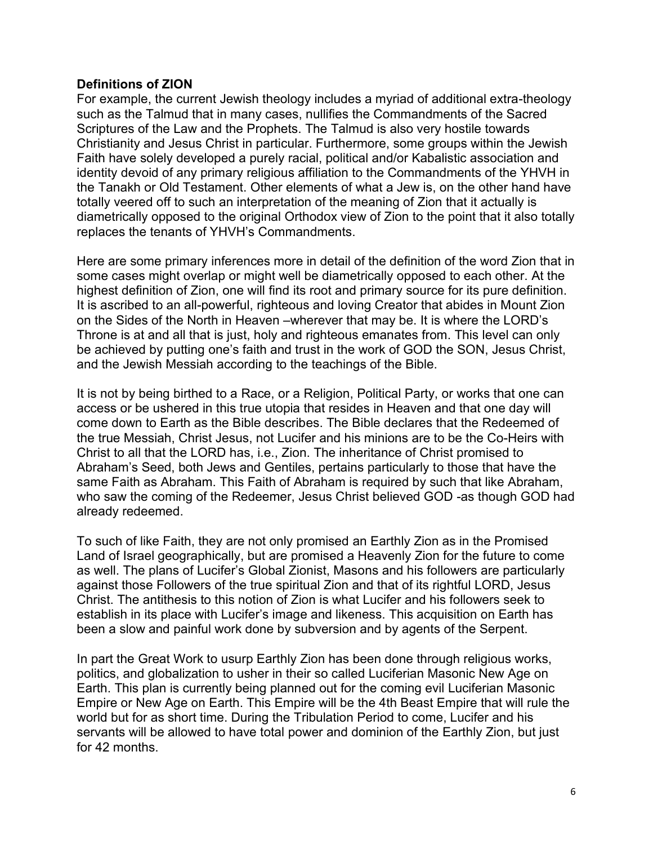# **Definitions of ZION**

For example, the current Jewish theology includes a myriad of additional extra-theology such as the Talmud that in many cases, nullifies the Commandments of the Sacred Scriptures of the Law and the Prophets. The Talmud is also very hostile towards Christianity and Jesus Christ in particular. Furthermore, some groups within the Jewish Faith have solely developed a purely racial, political and/or Kabalistic association and identity devoid of any primary religious affiliation to the Commandments of the YHVH in the Tanakh or Old Testament. Other elements of what a Jew is, on the other hand have totally veered off to such an interpretation of the meaning of Zion that it actually is diametrically opposed to the original Orthodox view of Zion to the point that it also totally replaces the tenants of YHVH's Commandments.

Here are some primary inferences more in detail of the definition of the word Zion that in some cases might overlap or might well be diametrically opposed to each other. At the highest definition of Zion, one will find its root and primary source for its pure definition. It is ascribed to an all-powerful, righteous and loving Creator that abides in Mount Zion on the Sides of the North in Heaven –wherever that may be. It is where the LORD's Throne is at and all that is just, holy and righteous emanates from. This level can only be achieved by putting one's faith and trust in the work of GOD the SON, Jesus Christ, and the Jewish Messiah according to the teachings of the Bible.

It is not by being birthed to a Race, or a Religion, Political Party, or works that one can access or be ushered in this true utopia that resides in Heaven and that one day will come down to Earth as the Bible describes. The Bible declares that the Redeemed of the true Messiah, Christ Jesus, not Lucifer and his minions are to be the Co-Heirs with Christ to all that the LORD has, i.e., Zion. The inheritance of Christ promised to Abraham's Seed, both Jews and Gentiles, pertains particularly to those that have the same Faith as Abraham. This Faith of Abraham is required by such that like Abraham, who saw the coming of the Redeemer, Jesus Christ believed GOD -as though GOD had already redeemed.

To such of like Faith, they are not only promised an Earthly Zion as in the Promised Land of Israel geographically, but are promised a Heavenly Zion for the future to come as well. The plans of Lucifer's Global Zionist, Masons and his followers are particularly against those Followers of the true spiritual Zion and that of its rightful LORD, Jesus Christ. The antithesis to this notion of Zion is what Lucifer and his followers seek to establish in its place with Lucifer's image and likeness. This acquisition on Earth has been a slow and painful work done by subversion and by agents of the Serpent.

In part the Great Work to usurp Earthly Zion has been done through religious works, politics, and globalization to usher in their so called Luciferian Masonic New Age on Earth. This plan is currently being planned out for the coming evil Luciferian Masonic Empire or New Age on Earth. This Empire will be the 4th Beast Empire that will rule the world but for as short time. During the Tribulation Period to come, Lucifer and his servants will be allowed to have total power and dominion of the Earthly Zion, but just for 42 months.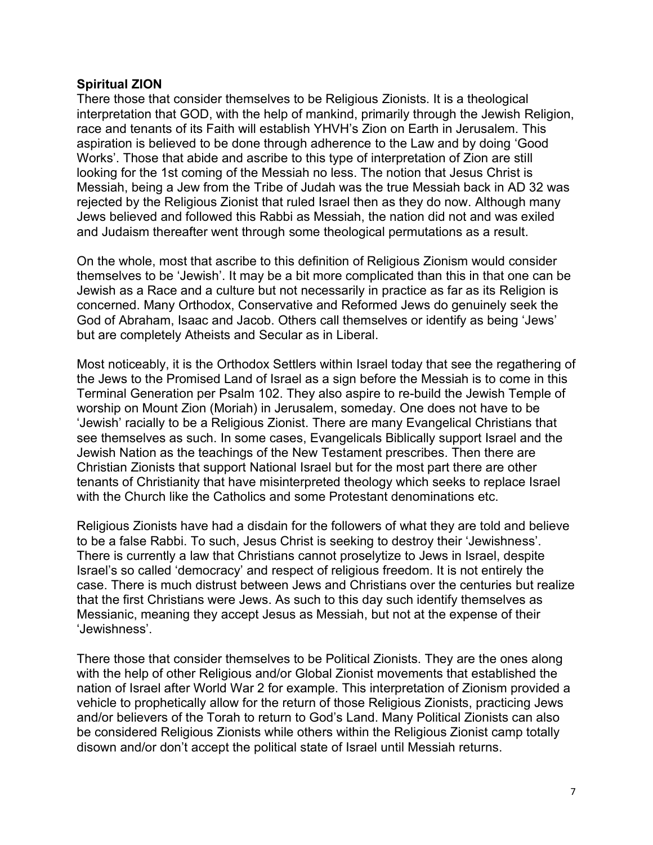# **Spiritual ZION**

There those that consider themselves to be Religious Zionists. It is a theological interpretation that GOD, with the help of mankind, primarily through the Jewish Religion, race and tenants of its Faith will establish YHVH's Zion on Earth in Jerusalem. This aspiration is believed to be done through adherence to the Law and by doing 'Good Works'. Those that abide and ascribe to this type of interpretation of Zion are still looking for the 1st coming of the Messiah no less. The notion that Jesus Christ is Messiah, being a Jew from the Tribe of Judah was the true Messiah back in AD 32 was rejected by the Religious Zionist that ruled Israel then as they do now. Although many Jews believed and followed this Rabbi as Messiah, the nation did not and was exiled and Judaism thereafter went through some theological permutations as a result.

On the whole, most that ascribe to this definition of Religious Zionism would consider themselves to be 'Jewish'. It may be a bit more complicated than this in that one can be Jewish as a Race and a culture but not necessarily in practice as far as its Religion is concerned. Many Orthodox, Conservative and Reformed Jews do genuinely seek the God of Abraham, Isaac and Jacob. Others call themselves or identify as being 'Jews' but are completely Atheists and Secular as in Liberal.

Most noticeably, it is the Orthodox Settlers within Israel today that see the regathering of the Jews to the Promised Land of Israel as a sign before the Messiah is to come in this Terminal Generation per Psalm 102. They also aspire to re-build the Jewish Temple of worship on Mount Zion (Moriah) in Jerusalem, someday. One does not have to be 'Jewish' racially to be a Religious Zionist. There are many Evangelical Christians that see themselves as such. In some cases, Evangelicals Biblically support Israel and the Jewish Nation as the teachings of the New Testament prescribes. Then there are Christian Zionists that support National Israel but for the most part there are other tenants of Christianity that have misinterpreted theology which seeks to replace Israel with the Church like the Catholics and some Protestant denominations etc.

Religious Zionists have had a disdain for the followers of what they are told and believe to be a false Rabbi. To such, Jesus Christ is seeking to destroy their 'Jewishness'. There is currently a law that Christians cannot proselytize to Jews in Israel, despite Israel's so called 'democracy' and respect of religious freedom. It is not entirely the case. There is much distrust between Jews and Christians over the centuries but realize that the first Christians were Jews. As such to this day such identify themselves as Messianic, meaning they accept Jesus as Messiah, but not at the expense of their 'Jewishness'.

There those that consider themselves to be Political Zionists. They are the ones along with the help of other Religious and/or Global Zionist movements that established the nation of Israel after World War 2 for example. This interpretation of Zionism provided a vehicle to prophetically allow for the return of those Religious Zionists, practicing Jews and/or believers of the Torah to return to God's Land. Many Political Zionists can also be considered Religious Zionists while others within the Religious Zionist camp totally disown and/or don't accept the political state of Israel until Messiah returns.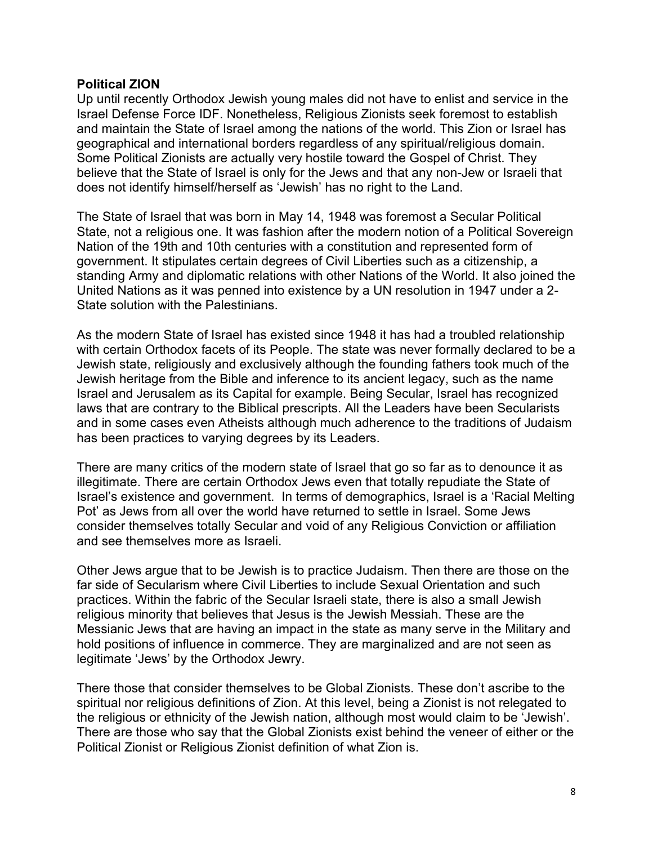#### **Political ZION**

Up until recently Orthodox Jewish young males did not have to enlist and service in the Israel Defense Force IDF. Nonetheless, Religious Zionists seek foremost to establish and maintain the State of Israel among the nations of the world. This Zion or Israel has geographical and international borders regardless of any spiritual/religious domain. Some Political Zionists are actually very hostile toward the Gospel of Christ. They believe that the State of Israel is only for the Jews and that any non-Jew or Israeli that does not identify himself/herself as 'Jewish' has no right to the Land.

The State of Israel that was born in May 14, 1948 was foremost a Secular Political State, not a religious one. It was fashion after the modern notion of a Political Sovereign Nation of the 19th and 10th centuries with a constitution and represented form of government. It stipulates certain degrees of Civil Liberties such as a citizenship, a standing Army and diplomatic relations with other Nations of the World. It also joined the United Nations as it was penned into existence by a UN resolution in 1947 under a 2- State solution with the Palestinians.

As the modern State of Israel has existed since 1948 it has had a troubled relationship with certain Orthodox facets of its People. The state was never formally declared to be a Jewish state, religiously and exclusively although the founding fathers took much of the Jewish heritage from the Bible and inference to its ancient legacy, such as the name Israel and Jerusalem as its Capital for example. Being Secular, Israel has recognized laws that are contrary to the Biblical prescripts. All the Leaders have been Secularists and in some cases even Atheists although much adherence to the traditions of Judaism has been practices to varying degrees by its Leaders.

There are many critics of the modern state of Israel that go so far as to denounce it as illegitimate. There are certain Orthodox Jews even that totally repudiate the State of Israel's existence and government. In terms of demographics, Israel is a 'Racial Melting Pot' as Jews from all over the world have returned to settle in Israel. Some Jews consider themselves totally Secular and void of any Religious Conviction or affiliation and see themselves more as Israeli.

Other Jews argue that to be Jewish is to practice Judaism. Then there are those on the far side of Secularism where Civil Liberties to include Sexual Orientation and such practices. Within the fabric of the Secular Israeli state, there is also a small Jewish religious minority that believes that Jesus is the Jewish Messiah. These are the Messianic Jews that are having an impact in the state as many serve in the Military and hold positions of influence in commerce. They are marginalized and are not seen as legitimate 'Jews' by the Orthodox Jewry.

There those that consider themselves to be Global Zionists. These don't ascribe to the spiritual nor religious definitions of Zion. At this level, being a Zionist is not relegated to the religious or ethnicity of the Jewish nation, although most would claim to be 'Jewish'. There are those who say that the Global Zionists exist behind the veneer of either or the Political Zionist or Religious Zionist definition of what Zion is.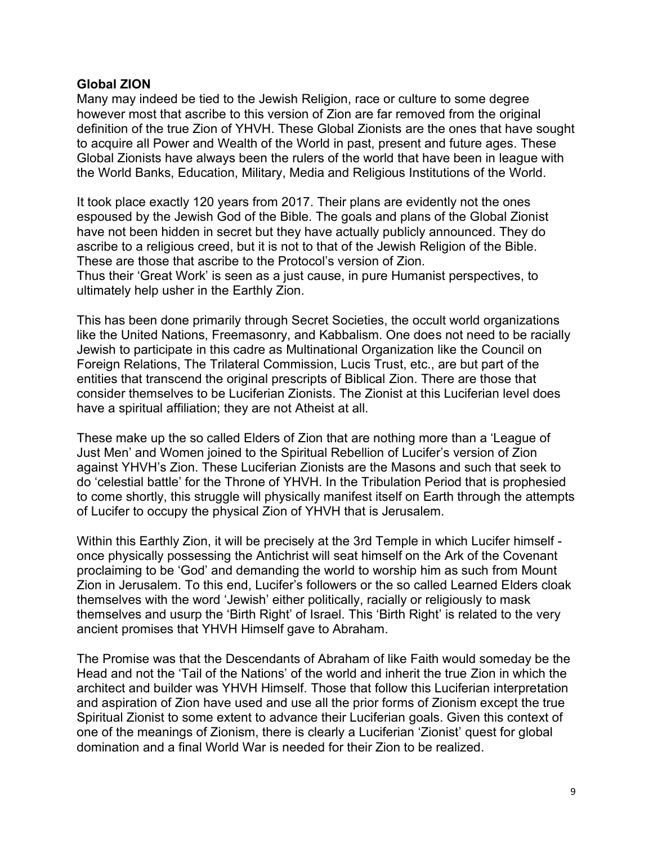# **Global ZION**

Many may indeed be tied to the Jewish Religion, race or culture to some degree however most that ascribe to this version of Zion are far removed from the original definition of the true Zion of YHVH. These Global Zionists are the ones that have sought to acquire all Power and Wealth of the World in past, present and future ages. These Global Zionists have always been the rulers of the world that have been in league with the World Banks, Education, Military, Media and Religious Institutions of the World.

It took place exactly 120 years from 2017. Their plans are evidently not the ones espoused by the Jewish God of the Bible. The goals and plans of the Global Zionist have not been hidden in secret but they have actually publicly announced. They do ascribe to a religious creed, but it is not to that of the Jewish Religion of the Bible. These are those that ascribe to the Protocol's version of Zion. Thus their 'Great Work' is seen as a just cause, in pure Humanist perspectives, to ultimately help usher in the Earthly Zion.

This has been done primarily through Secret Societies, the occult world organizations like the United Nations, Freemasonry, and Kabbalism. One does not need to be racially Jewish to participate in this cadre as Multinational Organization like the Council on Foreign Relations, The Trilateral Commission, Lucis Trust, etc., are but part of the entities that transcend the original prescripts of Biblical Zion. There are those that consider themselves to be Luciferian Zionists. The Zionist at this Luciferian level does have a spiritual affiliation; they are not Atheist at all.

These make up the so called Elders of Zion that are nothing more than a 'League of Just Men' and Women joined to the Spiritual Rebellion of Lucifer's version of Zion against YHVH's Zion. These Luciferian Zionists are the Masons and such that seek to do 'celestial battle' for the Throne of YHVH. In the Tribulation Period that is prophesied to come shortly, this struggle will physically manifest itself on Earth through the attempts of Lucifer to occupy the physical Zion of YHVH that is Jerusalem.

Within this Earthly Zion, it will be precisely at the 3rd Temple in which Lucifer himself once physically possessing the Antichrist will seat himself on the Ark of the Covenant proclaiming to be 'God' and demanding the world to worship him as such from Mount Zion in Jerusalem. To this end, Lucifer's followers or the so called Learned Elders cloak themselves with the word 'Jewish' either politically, racially or religiously to mask themselves and usurp the 'Birth Right' of Israel. This 'Birth Right' is related to the very ancient promises that YHVH Himself gave to Abraham.

The Promise was that the Descendants of Abraham of like Faith would someday be the Head and not the 'Tail of the Nations' of the world and inherit the true Zion in which the architect and builder was YHVH Himself. Those that follow this Luciferian interpretation and aspiration of Zion have used and use all the prior forms of Zionism except the true Spiritual Zionist to some extent to advance their Luciferian goals. Given this context of one of the meanings of Zionism, there is clearly a Luciferian 'Zionist' quest for global domination and a final World War is needed for their Zion to be realized.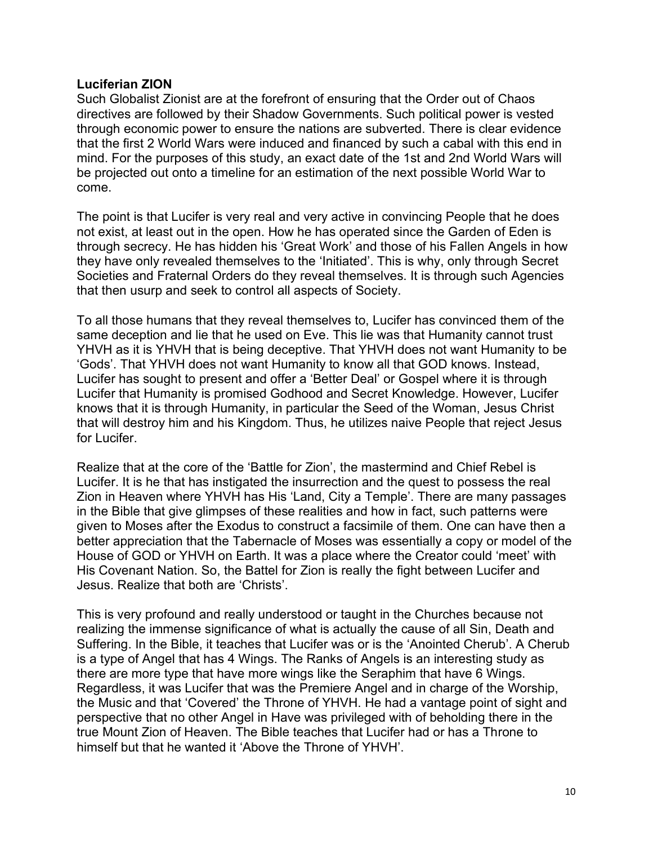#### **Luciferian ZION**

Such Globalist Zionist are at the forefront of ensuring that the Order out of Chaos directives are followed by their Shadow Governments. Such political power is vested through economic power to ensure the nations are subverted. There is clear evidence that the first 2 World Wars were induced and financed by such a cabal with this end in mind. For the purposes of this study, an exact date of the 1st and 2nd World Wars will be projected out onto a timeline for an estimation of the next possible World War to come.

The point is that Lucifer is very real and very active in convincing People that he does not exist, at least out in the open. How he has operated since the Garden of Eden is through secrecy. He has hidden his 'Great Work' and those of his Fallen Angels in how they have only revealed themselves to the 'Initiated'. This is why, only through Secret Societies and Fraternal Orders do they reveal themselves. It is through such Agencies that then usurp and seek to control all aspects of Society.

To all those humans that they reveal themselves to, Lucifer has convinced them of the same deception and lie that he used on Eve. This lie was that Humanity cannot trust YHVH as it is YHVH that is being deceptive. That YHVH does not want Humanity to be 'Gods'. That YHVH does not want Humanity to know all that GOD knows. Instead, Lucifer has sought to present and offer a 'Better Deal' or Gospel where it is through Lucifer that Humanity is promised Godhood and Secret Knowledge. However, Lucifer knows that it is through Humanity, in particular the Seed of the Woman, Jesus Christ that will destroy him and his Kingdom. Thus, he utilizes naive People that reject Jesus for Lucifer.

Realize that at the core of the 'Battle for Zion', the mastermind and Chief Rebel is Lucifer. It is he that has instigated the insurrection and the quest to possess the real Zion in Heaven where YHVH has His 'Land, City a Temple'. There are many passages in the Bible that give glimpses of these realities and how in fact, such patterns were given to Moses after the Exodus to construct a facsimile of them. One can have then a better appreciation that the Tabernacle of Moses was essentially a copy or model of the House of GOD or YHVH on Earth. It was a place where the Creator could 'meet' with His Covenant Nation. So, the Battel for Zion is really the fight between Lucifer and Jesus. Realize that both are 'Christs'.

This is very profound and really understood or taught in the Churches because not realizing the immense significance of what is actually the cause of all Sin, Death and Suffering. In the Bible, it teaches that Lucifer was or is the 'Anointed Cherub'. A Cherub is a type of Angel that has 4 Wings. The Ranks of Angels is an interesting study as there are more type that have more wings like the Seraphim that have 6 Wings. Regardless, it was Lucifer that was the Premiere Angel and in charge of the Worship, the Music and that 'Covered' the Throne of YHVH. He had a vantage point of sight and perspective that no other Angel in Have was privileged with of beholding there in the true Mount Zion of Heaven. The Bible teaches that Lucifer had or has a Throne to himself but that he wanted it 'Above the Throne of YHVH'.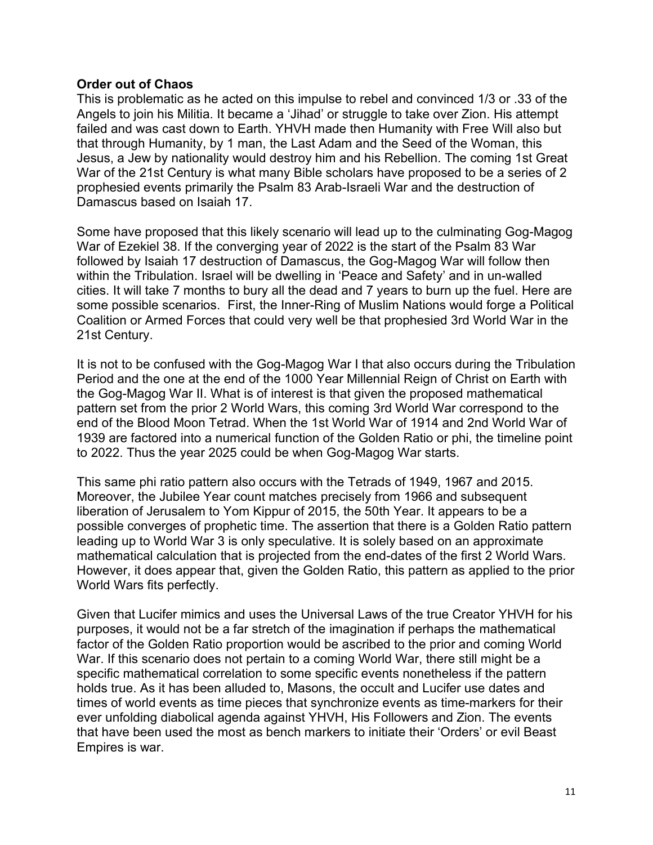# **Order out of Chaos**

This is problematic as he acted on this impulse to rebel and convinced 1/3 or .33 of the Angels to join his Militia. It became a 'Jihad' or struggle to take over Zion. His attempt failed and was cast down to Earth. YHVH made then Humanity with Free Will also but that through Humanity, by 1 man, the Last Adam and the Seed of the Woman, this Jesus, a Jew by nationality would destroy him and his Rebellion. The coming 1st Great War of the 21st Century is what many Bible scholars have proposed to be a series of 2 prophesied events primarily the Psalm 83 Arab-Israeli War and the destruction of Damascus based on Isaiah 17.

Some have proposed that this likely scenario will lead up to the culminating Gog-Magog War of Ezekiel 38. If the converging year of 2022 is the start of the Psalm 83 War followed by Isaiah 17 destruction of Damascus, the Gog-Magog War will follow then within the Tribulation. Israel will be dwelling in 'Peace and Safety' and in un-walled cities. It will take 7 months to bury all the dead and 7 years to burn up the fuel. Here are some possible scenarios. First, the Inner-Ring of Muslim Nations would forge a Political Coalition or Armed Forces that could very well be that prophesied 3rd World War in the 21st Century.

It is not to be confused with the Gog-Magog War I that also occurs during the Tribulation Period and the one at the end of the 1000 Year Millennial Reign of Christ on Earth with the Gog-Magog War II. What is of interest is that given the proposed mathematical pattern set from the prior 2 World Wars, this coming 3rd World War correspond to the end of the Blood Moon Tetrad. When the 1st World War of 1914 and 2nd World War of 1939 are factored into a numerical function of the Golden Ratio or phi, the timeline point to 2022. Thus the year 2025 could be when Gog-Magog War starts.

This same phi ratio pattern also occurs with the Tetrads of 1949, 1967 and 2015. Moreover, the Jubilee Year count matches precisely from 1966 and subsequent liberation of Jerusalem to Yom Kippur of 2015, the 50th Year. It appears to be a possible converges of prophetic time. The assertion that there is a Golden Ratio pattern leading up to World War 3 is only speculative. It is solely based on an approximate mathematical calculation that is projected from the end-dates of the first 2 World Wars. However, it does appear that, given the Golden Ratio, this pattern as applied to the prior World Wars fits perfectly.

Given that Lucifer mimics and uses the Universal Laws of the true Creator YHVH for his purposes, it would not be a far stretch of the imagination if perhaps the mathematical factor of the Golden Ratio proportion would be ascribed to the prior and coming World War. If this scenario does not pertain to a coming World War, there still might be a specific mathematical correlation to some specific events nonetheless if the pattern holds true. As it has been alluded to, Masons, the occult and Lucifer use dates and times of world events as time pieces that synchronize events as time-markers for their ever unfolding diabolical agenda against YHVH, His Followers and Zion. The events that have been used the most as bench markers to initiate their 'Orders' or evil Beast Empires is war.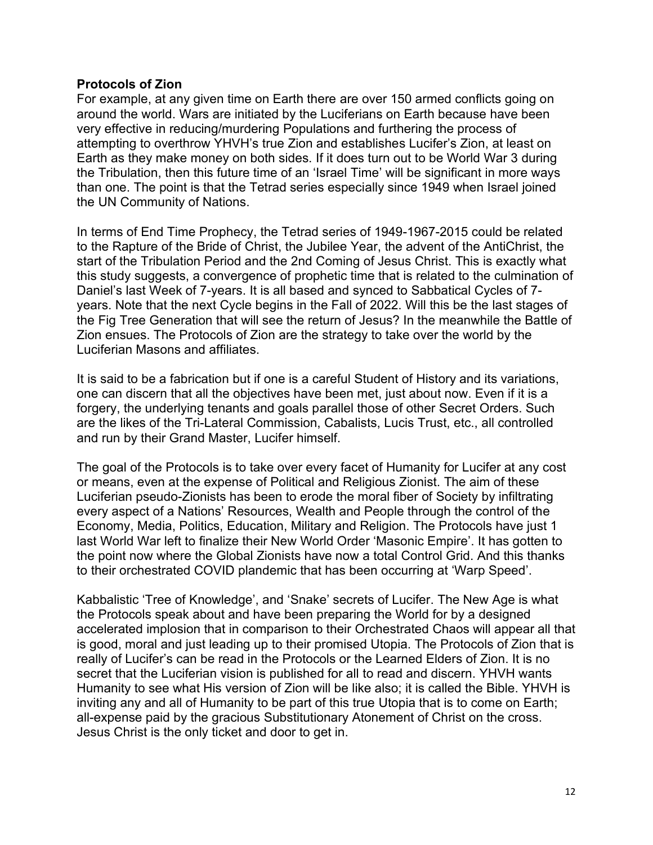#### **Protocols of Zion**

For example, at any given time on Earth there are over 150 armed conflicts going on around the world. Wars are initiated by the Luciferians on Earth because have been very effective in reducing/murdering Populations and furthering the process of attempting to overthrow YHVH's true Zion and establishes Lucifer's Zion, at least on Earth as they make money on both sides. If it does turn out to be World War 3 during the Tribulation, then this future time of an 'Israel Time' will be significant in more ways than one. The point is that the Tetrad series especially since 1949 when Israel joined the UN Community of Nations.

In terms of End Time Prophecy, the Tetrad series of 1949-1967-2015 could be related to the Rapture of the Bride of Christ, the Jubilee Year, the advent of the AntiChrist, the start of the Tribulation Period and the 2nd Coming of Jesus Christ. This is exactly what this study suggests, a convergence of prophetic time that is related to the culmination of Daniel's last Week of 7-years. It is all based and synced to Sabbatical Cycles of 7 years. Note that the next Cycle begins in the Fall of 2022. Will this be the last stages of the Fig Tree Generation that will see the return of Jesus? In the meanwhile the Battle of Zion ensues. The Protocols of Zion are the strategy to take over the world by the Luciferian Masons and affiliates.

It is said to be a fabrication but if one is a careful Student of History and its variations, one can discern that all the objectives have been met, just about now. Even if it is a forgery, the underlying tenants and goals parallel those of other Secret Orders. Such are the likes of the Tri-Lateral Commission, Cabalists, Lucis Trust, etc., all controlled and run by their Grand Master, Lucifer himself.

The goal of the Protocols is to take over every facet of Humanity for Lucifer at any cost or means, even at the expense of Political and Religious Zionist. The aim of these Luciferian pseudo-Zionists has been to erode the moral fiber of Society by infiltrating every aspect of a Nations' Resources, Wealth and People through the control of the Economy, Media, Politics, Education, Military and Religion. The Protocols have just 1 last World War left to finalize their New World Order 'Masonic Empire'. It has gotten to the point now where the Global Zionists have now a total Control Grid. And this thanks to their orchestrated COVID plandemic that has been occurring at 'Warp Speed'.

Kabbalistic 'Tree of Knowledge', and 'Snake' secrets of Lucifer. The New Age is what the Protocols speak about and have been preparing the World for by a designed accelerated implosion that in comparison to their Orchestrated Chaos will appear all that is good, moral and just leading up to their promised Utopia. The Protocols of Zion that is really of Lucifer's can be read in the Protocols or the Learned Elders of Zion. It is no secret that the Luciferian vision is published for all to read and discern. YHVH wants Humanity to see what His version of Zion will be like also; it is called the Bible. YHVH is inviting any and all of Humanity to be part of this true Utopia that is to come on Earth; all-expense paid by the gracious Substitutionary Atonement of Christ on the cross. Jesus Christ is the only ticket and door to get in.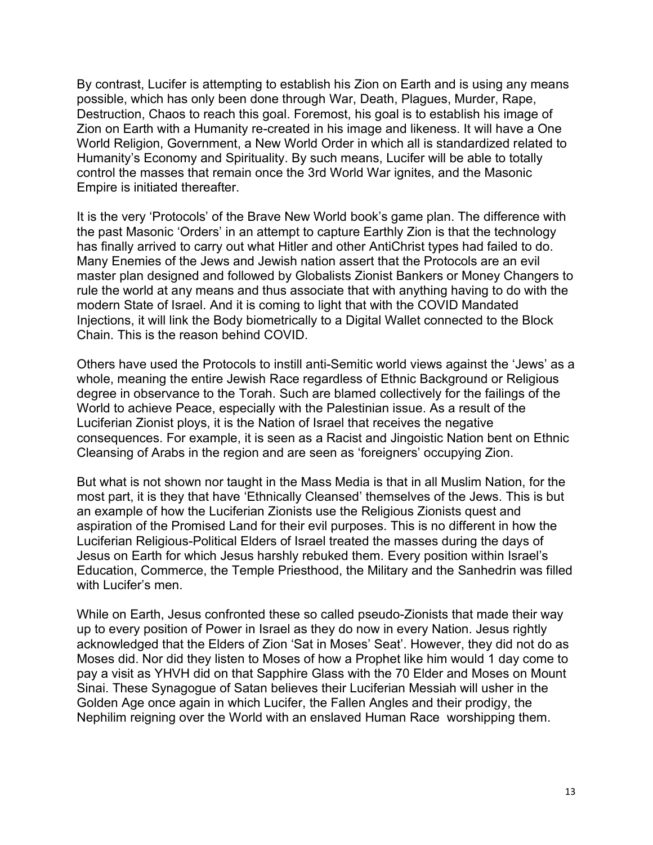By contrast, Lucifer is attempting to establish his Zion on Earth and is using any means possible, which has only been done through War, Death, Plagues, Murder, Rape, Destruction, Chaos to reach this goal. Foremost, his goal is to establish his image of Zion on Earth with a Humanity re-created in his image and likeness. It will have a One World Religion, Government, a New World Order in which all is standardized related to Humanity's Economy and Spirituality. By such means, Lucifer will be able to totally control the masses that remain once the 3rd World War ignites, and the Masonic Empire is initiated thereafter.

It is the very 'Protocols' of the Brave New World book's game plan. The difference with the past Masonic 'Orders' in an attempt to capture Earthly Zion is that the technology has finally arrived to carry out what Hitler and other AntiChrist types had failed to do. Many Enemies of the Jews and Jewish nation assert that the Protocols are an evil master plan designed and followed by Globalists Zionist Bankers or Money Changers to rule the world at any means and thus associate that with anything having to do with the modern State of Israel. And it is coming to light that with the COVID Mandated Injections, it will link the Body biometrically to a Digital Wallet connected to the Block Chain. This is the reason behind COVID.

Others have used the Protocols to instill anti-Semitic world views against the 'Jews' as a whole, meaning the entire Jewish Race regardless of Ethnic Background or Religious degree in observance to the Torah. Such are blamed collectively for the failings of the World to achieve Peace, especially with the Palestinian issue. As a result of the Luciferian Zionist ploys, it is the Nation of Israel that receives the negative consequences. For example, it is seen as a Racist and Jingoistic Nation bent on Ethnic Cleansing of Arabs in the region and are seen as 'foreigners' occupying Zion.

But what is not shown nor taught in the Mass Media is that in all Muslim Nation, for the most part, it is they that have 'Ethnically Cleansed' themselves of the Jews. This is but an example of how the Luciferian Zionists use the Religious Zionists quest and aspiration of the Promised Land for their evil purposes. This is no different in how the Luciferian Religious-Political Elders of Israel treated the masses during the days of Jesus on Earth for which Jesus harshly rebuked them. Every position within Israel's Education, Commerce, the Temple Priesthood, the Military and the Sanhedrin was filled with Lucifer's men.

While on Earth, Jesus confronted these so called pseudo-Zionists that made their way up to every position of Power in Israel as they do now in every Nation. Jesus rightly acknowledged that the Elders of Zion 'Sat in Moses' Seat'. However, they did not do as Moses did. Nor did they listen to Moses of how a Prophet like him would 1 day come to pay a visit as YHVH did on that Sapphire Glass with the 70 Elder and Moses on Mount Sinai. These Synagogue of Satan believes their Luciferian Messiah will usher in the Golden Age once again in which Lucifer, the Fallen Angles and their prodigy, the Nephilim reigning over the World with an enslaved Human Race worshipping them.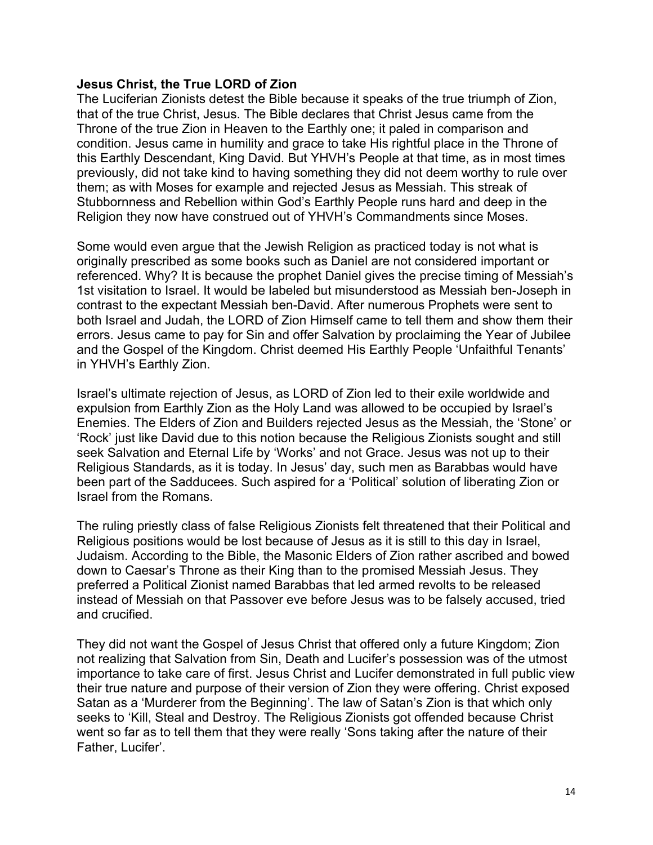# **Jesus Christ, the True LORD of Zion**

The Luciferian Zionists detest the Bible because it speaks of the true triumph of Zion, that of the true Christ, Jesus. The Bible declares that Christ Jesus came from the Throne of the true Zion in Heaven to the Earthly one; it paled in comparison and condition. Jesus came in humility and grace to take His rightful place in the Throne of this Earthly Descendant, King David. But YHVH's People at that time, as in most times previously, did not take kind to having something they did not deem worthy to rule over them; as with Moses for example and rejected Jesus as Messiah. This streak of Stubbornness and Rebellion within God's Earthly People runs hard and deep in the Religion they now have construed out of YHVH's Commandments since Moses.

Some would even argue that the Jewish Religion as practiced today is not what is originally prescribed as some books such as Daniel are not considered important or referenced. Why? It is because the prophet Daniel gives the precise timing of Messiah's 1st visitation to Israel. It would be labeled but misunderstood as Messiah ben-Joseph in contrast to the expectant Messiah ben-David. After numerous Prophets were sent to both Israel and Judah, the LORD of Zion Himself came to tell them and show them their errors. Jesus came to pay for Sin and offer Salvation by proclaiming the Year of Jubilee and the Gospel of the Kingdom. Christ deemed His Earthly People 'Unfaithful Tenants' in YHVH's Earthly Zion.

Israel's ultimate rejection of Jesus, as LORD of Zion led to their exile worldwide and expulsion from Earthly Zion as the Holy Land was allowed to be occupied by Israel's Enemies. The Elders of Zion and Builders rejected Jesus as the Messiah, the 'Stone' or 'Rock' just like David due to this notion because the Religious Zionists sought and still seek Salvation and Eternal Life by 'Works' and not Grace. Jesus was not up to their Religious Standards, as it is today. In Jesus' day, such men as Barabbas would have been part of the Sadducees. Such aspired for a 'Political' solution of liberating Zion or Israel from the Romans.

The ruling priestly class of false Religious Zionists felt threatened that their Political and Religious positions would be lost because of Jesus as it is still to this day in Israel, Judaism. According to the Bible, the Masonic Elders of Zion rather ascribed and bowed down to Caesar's Throne as their King than to the promised Messiah Jesus. They preferred a Political Zionist named Barabbas that led armed revolts to be released instead of Messiah on that Passover eve before Jesus was to be falsely accused, tried and crucified.

They did not want the Gospel of Jesus Christ that offered only a future Kingdom; Zion not realizing that Salvation from Sin, Death and Lucifer's possession was of the utmost importance to take care of first. Jesus Christ and Lucifer demonstrated in full public view their true nature and purpose of their version of Zion they were offering. Christ exposed Satan as a 'Murderer from the Beginning'. The law of Satan's Zion is that which only seeks to 'Kill, Steal and Destroy. The Religious Zionists got offended because Christ went so far as to tell them that they were really 'Sons taking after the nature of their Father, Lucifer'.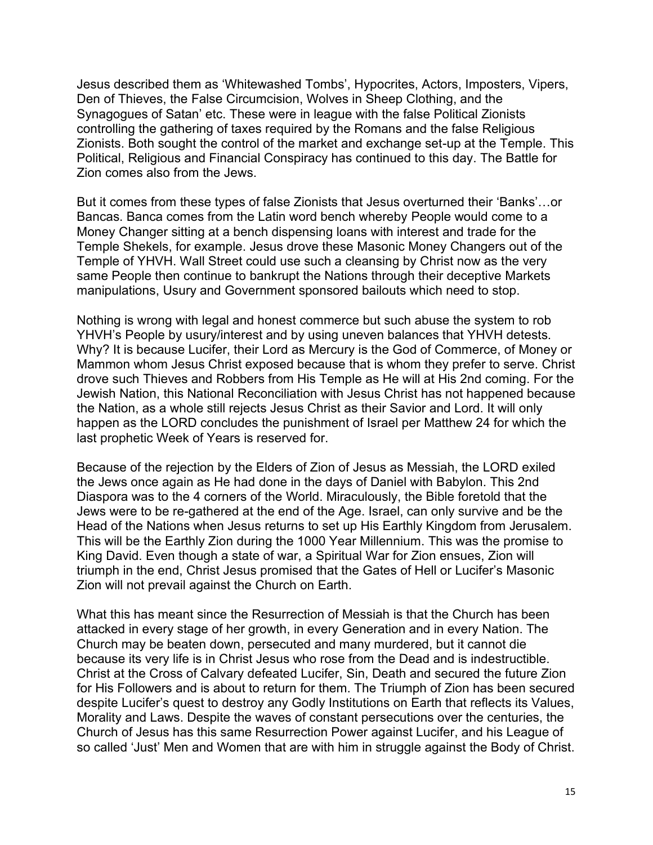Jesus described them as 'Whitewashed Tombs', Hypocrites, Actors, Imposters, Vipers, Den of Thieves, the False Circumcision, Wolves in Sheep Clothing, and the Synagogues of Satan' etc. These were in league with the false Political Zionists controlling the gathering of taxes required by the Romans and the false Religious Zionists. Both sought the control of the market and exchange set-up at the Temple. This Political, Religious and Financial Conspiracy has continued to this day. The Battle for Zion comes also from the Jews.

But it comes from these types of false Zionists that Jesus overturned their 'Banks'…or Bancas. Banca comes from the Latin word bench whereby People would come to a Money Changer sitting at a bench dispensing loans with interest and trade for the Temple Shekels, for example. Jesus drove these Masonic Money Changers out of the Temple of YHVH. Wall Street could use such a cleansing by Christ now as the very same People then continue to bankrupt the Nations through their deceptive Markets manipulations, Usury and Government sponsored bailouts which need to stop.

Nothing is wrong with legal and honest commerce but such abuse the system to rob YHVH's People by usury/interest and by using uneven balances that YHVH detests. Why? It is because Lucifer, their Lord as Mercury is the God of Commerce, of Money or Mammon whom Jesus Christ exposed because that is whom they prefer to serve. Christ drove such Thieves and Robbers from His Temple as He will at His 2nd coming. For the Jewish Nation, this National Reconciliation with Jesus Christ has not happened because the Nation, as a whole still rejects Jesus Christ as their Savior and Lord. It will only happen as the LORD concludes the punishment of Israel per Matthew 24 for which the last prophetic Week of Years is reserved for.

Because of the rejection by the Elders of Zion of Jesus as Messiah, the LORD exiled the Jews once again as He had done in the days of Daniel with Babylon. This 2nd Diaspora was to the 4 corners of the World. Miraculously, the Bible foretold that the Jews were to be re-gathered at the end of the Age. Israel, can only survive and be the Head of the Nations when Jesus returns to set up His Earthly Kingdom from Jerusalem. This will be the Earthly Zion during the 1000 Year Millennium. This was the promise to King David. Even though a state of war, a Spiritual War for Zion ensues, Zion will triumph in the end, Christ Jesus promised that the Gates of Hell or Lucifer's Masonic Zion will not prevail against the Church on Earth.

What this has meant since the Resurrection of Messiah is that the Church has been attacked in every stage of her growth, in every Generation and in every Nation. The Church may be beaten down, persecuted and many murdered, but it cannot die because its very life is in Christ Jesus who rose from the Dead and is indestructible. Christ at the Cross of Calvary defeated Lucifer, Sin, Death and secured the future Zion for His Followers and is about to return for them. The Triumph of Zion has been secured despite Lucifer's quest to destroy any Godly Institutions on Earth that reflects its Values, Morality and Laws. Despite the waves of constant persecutions over the centuries, the Church of Jesus has this same Resurrection Power against Lucifer, and his League of so called 'Just' Men and Women that are with him in struggle against the Body of Christ.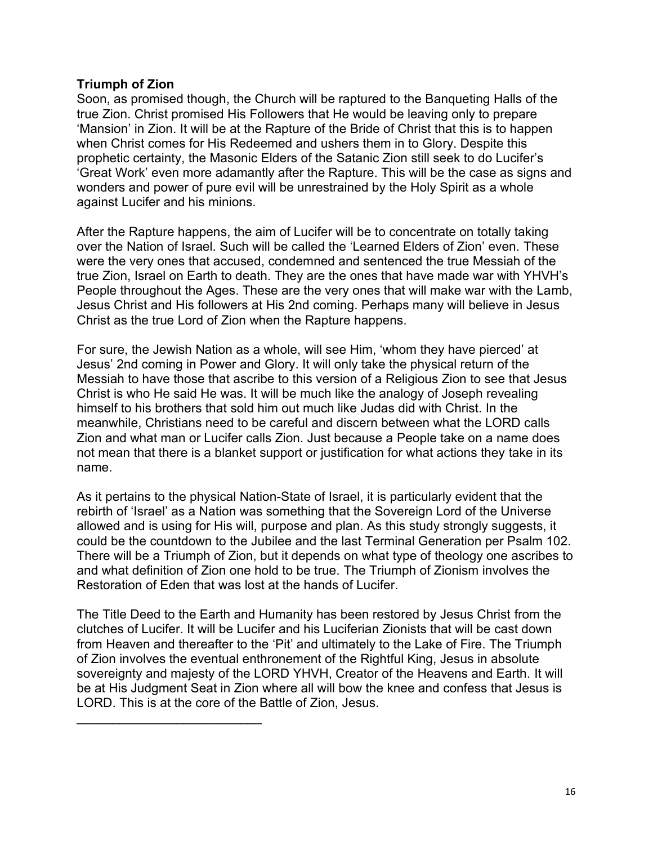# **Triumph of Zion**

Soon, as promised though, the Church will be raptured to the Banqueting Halls of the true Zion. Christ promised His Followers that He would be leaving only to prepare 'Mansion' in Zion. It will be at the Rapture of the Bride of Christ that this is to happen when Christ comes for His Redeemed and ushers them in to Glory. Despite this prophetic certainty, the Masonic Elders of the Satanic Zion still seek to do Lucifer's 'Great Work' even more adamantly after the Rapture. This will be the case as signs and wonders and power of pure evil will be unrestrained by the Holy Spirit as a whole against Lucifer and his minions.

After the Rapture happens, the aim of Lucifer will be to concentrate on totally taking over the Nation of Israel. Such will be called the 'Learned Elders of Zion' even. These were the very ones that accused, condemned and sentenced the true Messiah of the true Zion, Israel on Earth to death. They are the ones that have made war with YHVH's People throughout the Ages. These are the very ones that will make war with the Lamb, Jesus Christ and His followers at His 2nd coming. Perhaps many will believe in Jesus Christ as the true Lord of Zion when the Rapture happens.

For sure, the Jewish Nation as a whole, will see Him, 'whom they have pierced' at Jesus' 2nd coming in Power and Glory. It will only take the physical return of the Messiah to have those that ascribe to this version of a Religious Zion to see that Jesus Christ is who He said He was. It will be much like the analogy of Joseph revealing himself to his brothers that sold him out much like Judas did with Christ. In the meanwhile, Christians need to be careful and discern between what the LORD calls Zion and what man or Lucifer calls Zion. Just because a People take on a name does not mean that there is a blanket support or justification for what actions they take in its name.

As it pertains to the physical Nation-State of Israel, it is particularly evident that the rebirth of 'Israel' as a Nation was something that the Sovereign Lord of the Universe allowed and is using for His will, purpose and plan. As this study strongly suggests, it could be the countdown to the Jubilee and the last Terminal Generation per Psalm 102. There will be a Triumph of Zion, but it depends on what type of theology one ascribes to and what definition of Zion one hold to be true. The Triumph of Zionism involves the Restoration of Eden that was lost at the hands of Lucifer.

The Title Deed to the Earth and Humanity has been restored by Jesus Christ from the clutches of Lucifer. It will be Lucifer and his Luciferian Zionists that will be cast down from Heaven and thereafter to the 'Pit' and ultimately to the Lake of Fire. The Triumph of Zion involves the eventual enthronement of the Rightful King, Jesus in absolute sovereignty and majesty of the LORD YHVH, Creator of the Heavens and Earth. It will be at His Judgment Seat in Zion where all will bow the knee and confess that Jesus is LORD. This is at the core of the Battle of Zion, Jesus.

 $\mathcal{L}_\text{max}$  , where  $\mathcal{L}_\text{max}$  , we have the set of the set of the set of the set of the set of the set of the set of the set of the set of the set of the set of the set of the set of the set of the set of the set of